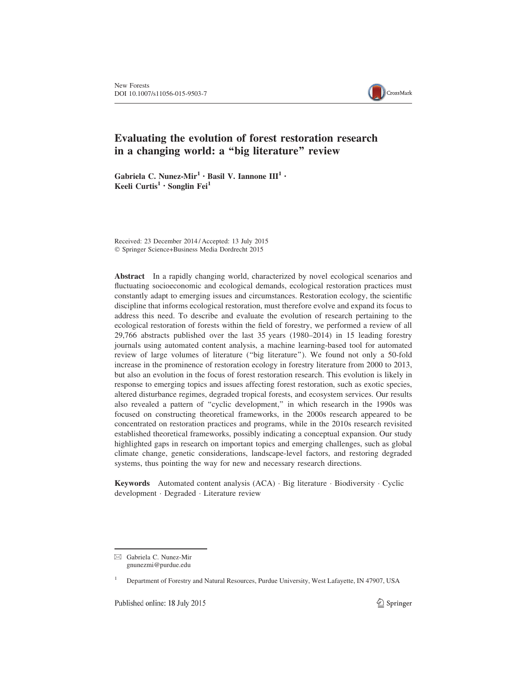

# Evaluating the evolution of forest restoration research in a changing world: a ''big literature'' review

Gabriela C. Nunez-Mir<sup>1</sup> · Basil V. Iannone  $III<sup>1</sup>$  · Keeli Curtis<sup>1</sup> · Songlin Fei<sup>1</sup>

Received: 23 December 2014 / Accepted: 13 July 2015 - Springer Science+Business Media Dordrecht 2015

Abstract In a rapidly changing world, characterized by novel ecological scenarios and fluctuating socioeconomic and ecological demands, ecological restoration practices must constantly adapt to emerging issues and circumstances. Restoration ecology, the scientific discipline that informs ecological restoration, must therefore evolve and expand its focus to address this need. To describe and evaluate the evolution of research pertaining to the ecological restoration of forests within the field of forestry, we performed a review of all 29,766 abstracts published over the last 35 years (1980–2014) in 15 leading forestry journals using automated content analysis, a machine learning-based tool for automated review of large volumes of literature (''big literature''). We found not only a 50-fold increase in the prominence of restoration ecology in forestry literature from 2000 to 2013, but also an evolution in the focus of forest restoration research. This evolution is likely in response to emerging topics and issues affecting forest restoration, such as exotic species, altered disturbance regimes, degraded tropical forests, and ecosystem services. Our results also revealed a pattern of "cyclic development," in which research in the 1990s was focused on constructing theoretical frameworks, in the 2000s research appeared to be concentrated on restoration practices and programs, while in the 2010s research revisited established theoretical frameworks, possibly indicating a conceptual expansion. Our study highlighted gaps in research on important topics and emerging challenges, such as global climate change, genetic considerations, landscape-level factors, and restoring degraded systems, thus pointing the way for new and necessary research directions.

Keywords Automated content analysis (ACA) · Big literature · Biodiversity · Cyclic development - Degraded - Literature review

& Gabriela C. Nunez-Mir gnunezmi@purdue.edu

Department of Forestry and Natural Resources, Purdue University, West Lafayette, IN 47907, USA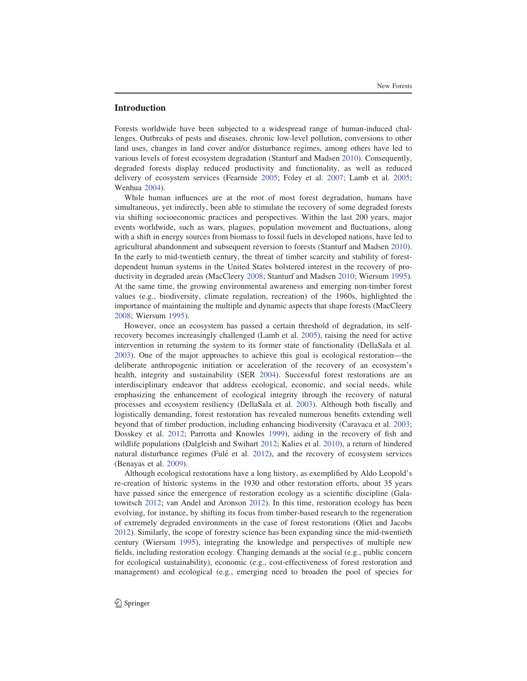# Introduction

Forests worldwide have been subjected to a widespread range of human-induced challenges. Outbreaks of pests and diseases, chronic low-level pollution, conversions to other land uses, changes in land cover and/or disturbance regimes, among others have led to various levels of forest ecosystem degradation (Stanturf and Madsen 2010). Consequently, degraded forests display reduced productivity and functionality, as well as reduced delivery of ecosystem services (Fearnside 2005; Foley et al. 2007; Lamb et al. 2005; Wenhua 2004).

While human influences are at the root of most forest degradation, humans have simultaneous, yet indirectly, been able to stimulate the recovery of some degraded forests via shifting socioeconomic practices and perspectives. Within the last 200 years, major events worldwide, such as wars, plagues, population movement and fluctuations, along with a shift in energy sources from biomass to fossil fuels in developed nations, have led to agricultural abandonment and subsequent reversion to forests (Stanturf and Madsen 2010). In the early to mid-twentieth century, the threat of timber scarcity and stability of forestdependent human systems in the United States bolstered interest in the recovery of productivity in degraded areas (MacCleery 2008; Stanturf and Madsen 2010; Wiersum 1995). At the same time, the growing environmental awareness and emerging non-timber forest values (e.g., biodiversity, climate regulation, recreation) of the 1960s, highlighted the importance of maintaining the multiple and dynamic aspects that shape forests (MacCleery 2008; Wiersum 1995).

However, once an ecosystem has passed a certain threshold of degradation, its selfrecovery becomes increasingly challenged (Lamb et al. 2005), raising the need for active intervention in returning the system to its former state of functionality (DellaSala et al. 2003). One of the major approaches to achieve this goal is ecological restoration—the deliberate anthropogenic initiation or acceleration of the recovery of an ecosystem's health, integrity and sustainability (SER 2004). Successful forest restorations are an interdisciplinary endeavor that address ecological, economic, and social needs, while emphasizing the enhancement of ecological integrity through the recovery of natural processes and ecosystem resiliency (DellaSala et al. 2003). Although both fiscally and logistically demanding, forest restoration has revealed numerous benefits extending well beyond that of timber production, including enhancing biodiversity (Caravaca et al. 2003; Dosskey et al. 2012; Parrotta and Knowles 1999), aiding in the recovery of fish and wildlife populations (Dalgleish and Swihart 2012; Kalies et al. 2010), a return of hindered natural disturbance regimes (Fulé et al. 2012), and the recovery of ecosystem services (Benayas et al. 2009).

Although ecological restorations have a long history, as exemplified by Aldo Leopold's re-creation of historic systems in the 1930 and other restoration efforts, about 35 years have passed since the emergence of restoration ecology as a scientific discipline (Galatowitsch 2012; van Andel and Aronson 2012). In this time, restoration ecology has been evolving, for instance, by shifting its focus from timber-based research to the regeneration of extremely degraded environments in the case of forest restorations (Oliet and Jacobs 2012). Similarly, the scope of forestry science has been expanding since the mid-twentieth century (Wiersum 1995), integrating the knowledge and perspectives of multiple new fields, including restoration ecology. Changing demands at the social (e.g., public concern for ecological sustainability), economic (e.g., cost-effectiveness of forest restoration and management) and ecological (e.g., emerging need to broaden the pool of species for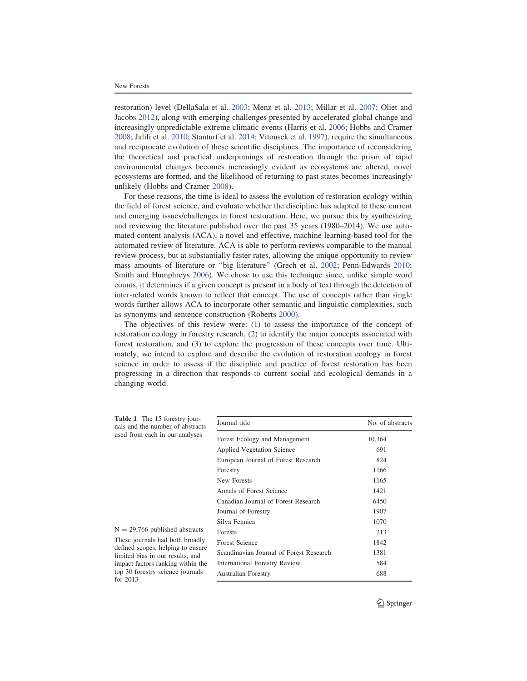#### New Forests

restoration) level (DellaSala et al. 2003; Menz et al. 2013; Millar et al. 2007; Oliet and Jacobs 2012), along with emerging challenges presented by accelerated global change and increasingly unpredictable extreme climatic events (Harris et al. 2006; Hobbs and Cramer 2008; Jalili et al. 2010; Stanturf et al. 2014; Vitousek et al. 1997), require the simultaneous and reciprocate evolution of these scientific disciplines. The importance of reconsidering the theoretical and practical underpinnings of restoration through the prism of rapid environmental changes becomes increasingly evident as ecosystems are altered, novel ecosystems are formed, and the likelihood of returning to past states becomes increasingly unlikely (Hobbs and Cramer 2008).

For these reasons, the time is ideal to assess the evolution of restoration ecology within the field of forest science, and evaluate whether the discipline has adapted to these current and emerging issues/challenges in forest restoration. Here, we pursue this by synthesizing and reviewing the literature published over the past 35 years (1980–2014). We use automated content analysis (ACA), a novel and effective, machine learning-based tool for the automated review of literature. ACA is able to perform reviews comparable to the manual review process, but at substantially faster rates, allowing the unique opportunity to review mass amounts of literature or ''big literature'' (Grech et al. 2002; Penn-Edwards 2010; Smith and Humphreys 2006). We chose to use this technique since, unlike simple word counts, it determines if a given concept is present in a body of text through the detection of inter-related words known to reflect that concept. The use of concepts rather than single words further allows ACA to incorporate other semantic and linguistic complexities, such as synonyms and sentence construction (Roberts 2000).

The objectives of this review were: (1) to assess the importance of the concept of restoration ecology in forestry research, (2) to identify the major concepts associated with forest restoration, and (3) to explore the progression of these concepts over time. Ultimately, we intend to explore and describe the evolution of restoration ecology in forest science in order to assess if the discipline and practice of forest restoration has been progressing in a direction that responds to current social and ecological demands in a changing world.

Table 1 The 15 forestry journals and the number of abstracts used from each in our analyses

 $N = 29,766$  published abstracts These journals had both broadly defined scopes, helping to ensure limited bias in our results, and impact factors ranking within the top 30 forestry science journals for 2013

| Journal title                           | No. of abstracts |
|-----------------------------------------|------------------|
| Forest Ecology and Management           | 10,364           |
| <b>Applied Vegetation Science</b>       | 691              |
| European Journal of Forest Research     | 824              |
| Forestry                                | 1166             |
| New Forests                             | 1165             |
| Annals of Forest Science                | 1421             |
| Canadian Journal of Forest Research     | 6450             |
| Journal of Forestry                     | 1907             |
| Silva Fennica                           | 1070             |
| <b>Forests</b>                          | 213              |
| <b>Forest Science</b>                   | 1842             |
| Scandinavian Journal of Forest Research | 1381             |
| <b>International Forestry Review</b>    | 584              |
| <b>Australian Forestry</b>              | 688              |
|                                         |                  |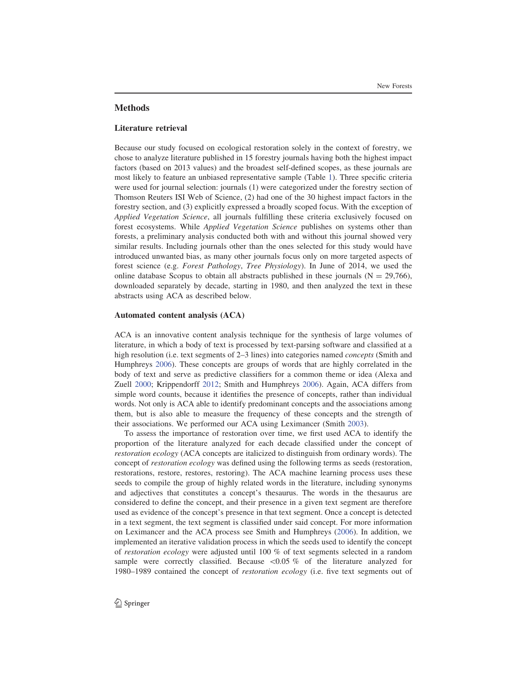# **Methods**

## Literature retrieval

Because our study focused on ecological restoration solely in the context of forestry, we chose to analyze literature published in 15 forestry journals having both the highest impact factors (based on 2013 values) and the broadest self-defined scopes, as these journals are most likely to feature an unbiased representative sample (Table 1). Three specific criteria were used for journal selection: journals (1) were categorized under the forestry section of Thomson Reuters ISI Web of Science, (2) had one of the 30 highest impact factors in the forestry section, and (3) explicitly expressed a broadly scoped focus. With the exception of Applied Vegetation Science, all journals fulfilling these criteria exclusively focused on forest ecosystems. While Applied Vegetation Science publishes on systems other than forests, a preliminary analysis conducted both with and without this journal showed very similar results. Including journals other than the ones selected for this study would have introduced unwanted bias, as many other journals focus only on more targeted aspects of forest science (e.g. Forest Pathology, Tree Physiology). In June of 2014, we used the online database Scopus to obtain all abstracts published in these journals ( $N = 29,766$ ), downloaded separately by decade, starting in 1980, and then analyzed the text in these abstracts using ACA as described below.

### Automated content analysis (ACA)

ACA is an innovative content analysis technique for the synthesis of large volumes of literature, in which a body of text is processed by text-parsing software and classified at a high resolution (i.e. text segments of 2-3 lines) into categories named *concepts* (Smith and Humphreys 2006). These concepts are groups of words that are highly correlated in the body of text and serve as predictive classifiers for a common theme or idea (Alexa and Zuell 2000; Krippendorff 2012; Smith and Humphreys 2006). Again, ACA differs from simple word counts, because it identifies the presence of concepts, rather than individual words. Not only is ACA able to identify predominant concepts and the associations among them, but is also able to measure the frequency of these concepts and the strength of their associations. We performed our ACA using Leximancer (Smith 2003).

To assess the importance of restoration over time, we first used ACA to identify the proportion of the literature analyzed for each decade classified under the concept of restoration ecology (ACA concepts are italicized to distinguish from ordinary words). The concept of restoration ecology was defined using the following terms as seeds (restoration, restorations, restore, restores, restoring). The ACA machine learning process uses these seeds to compile the group of highly related words in the literature, including synonyms and adjectives that constitutes a concept's thesaurus. The words in the thesaurus are considered to define the concept, and their presence in a given text segment are therefore used as evidence of the concept's presence in that text segment. Once a concept is detected in a text segment, the text segment is classified under said concept. For more information on Leximancer and the ACA process see Smith and Humphreys (2006). In addition, we implemented an iterative validation process in which the seeds used to identify the concept of restoration ecology were adjusted until 100 % of text segments selected in a random sample were correctly classified. Because  $\langle 0.05 \%$  of the literature analyzed for 1980–1989 contained the concept of restoration ecology (i.e. five text segments out of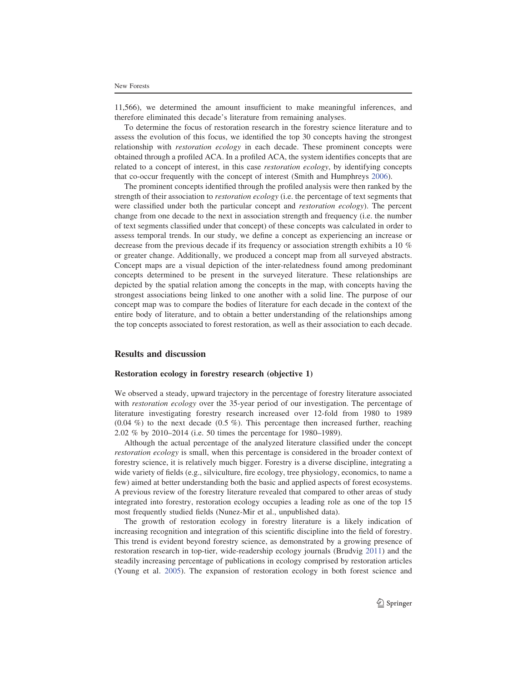New Forests

11,566), we determined the amount insufficient to make meaningful inferences, and therefore eliminated this decade's literature from remaining analyses.

To determine the focus of restoration research in the forestry science literature and to assess the evolution of this focus, we identified the top 30 concepts having the strongest relationship with *restoration ecology* in each decade. These prominent concepts were obtained through a profiled ACA. In a profiled ACA, the system identifies concepts that are related to a concept of interest, in this case restoration ecology, by identifying concepts that co-occur frequently with the concept of interest (Smith and Humphreys 2006).

The prominent concepts identified through the profiled analysis were then ranked by the strength of their association to *restoration ecology* (i.e. the percentage of text segments that were classified under both the particular concept and restoration ecology). The percent change from one decade to the next in association strength and frequency (i.e. the number of text segments classified under that concept) of these concepts was calculated in order to assess temporal trends. In our study, we define a concept as experiencing an increase or decrease from the previous decade if its frequency or association strength exhibits a 10 % or greater change. Additionally, we produced a concept map from all surveyed abstracts. Concept maps are a visual depiction of the inter-relatedness found among predominant concepts determined to be present in the surveyed literature. These relationships are depicted by the spatial relation among the concepts in the map, with concepts having the strongest associations being linked to one another with a solid line. The purpose of our concept map was to compare the bodies of literature for each decade in the context of the entire body of literature, and to obtain a better understanding of the relationships among the top concepts associated to forest restoration, as well as their association to each decade.

# Results and discussion

## Restoration ecology in forestry research (objective 1)

We observed a steady, upward trajectory in the percentage of forestry literature associated with *restoration ecology* over the 35-year period of our investigation. The percentage of literature investigating forestry research increased over 12-fold from 1980 to 1989  $(0.04\%)$  to the next decade  $(0.5\%)$ . This percentage then increased further, reaching 2.02 % by 2010–2014 (i.e. 50 times the percentage for 1980–1989).

Although the actual percentage of the analyzed literature classified under the concept restoration ecology is small, when this percentage is considered in the broader context of forestry science, it is relatively much bigger. Forestry is a diverse discipline, integrating a wide variety of fields (e.g., silviculture, fire ecology, tree physiology, economics, to name a few) aimed at better understanding both the basic and applied aspects of forest ecosystems. A previous review of the forestry literature revealed that compared to other areas of study integrated into forestry, restoration ecology occupies a leading role as one of the top 15 most frequently studied fields (Nunez-Mir et al., unpublished data).

The growth of restoration ecology in forestry literature is a likely indication of increasing recognition and integration of this scientific discipline into the field of forestry. This trend is evident beyond forestry science, as demonstrated by a growing presence of restoration research in top-tier, wide-readership ecology journals (Brudvig 2011) and the steadily increasing percentage of publications in ecology comprised by restoration articles (Young et al. 2005). The expansion of restoration ecology in both forest science and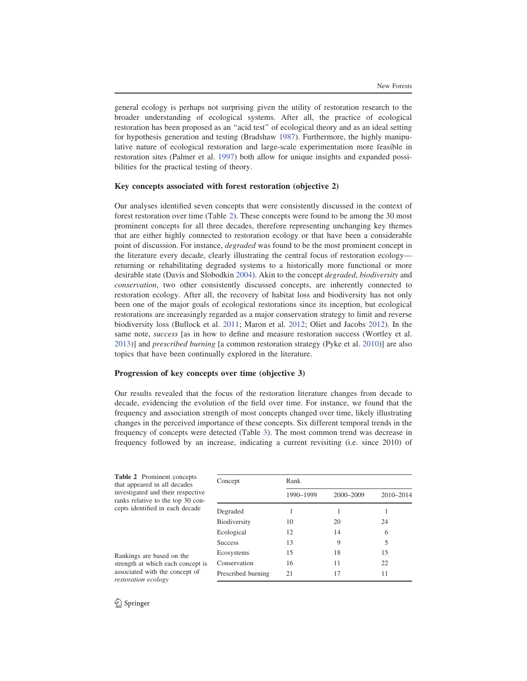general ecology is perhaps not surprising given the utility of restoration research to the broader understanding of ecological systems. After all, the practice of ecological restoration has been proposed as an ''acid test'' of ecological theory and as an ideal setting for hypothesis generation and testing (Bradshaw 1987). Furthermore, the highly manipulative nature of ecological restoration and large-scale experimentation more feasible in restoration sites (Palmer et al. 1997) both allow for unique insights and expanded possibilities for the practical testing of theory.

## Key concepts associated with forest restoration (objective 2)

Our analyses identified seven concepts that were consistently discussed in the context of forest restoration over time (Table 2). These concepts were found to be among the 30 most prominent concepts for all three decades, therefore representing unchanging key themes that are either highly connected to restoration ecology or that have been a considerable point of discussion. For instance, *degraded* was found to be the most prominent concept in the literature every decade, clearly illustrating the central focus of restoration ecology returning or rehabilitating degraded systems to a historically more functional or more desirable state (Davis and Slobodkin 2004). Akin to the concept degraded, biodiversity and conservation, two other consistently discussed concepts, are inherently connected to restoration ecology. After all, the recovery of habitat loss and biodiversity has not only been one of the major goals of ecological restorations since its inception, but ecological restorations are increasingly regarded as a major conservation strategy to limit and reverse biodiversity loss (Bullock et al. 2011; Maron et al. 2012; Oliet and Jacobs 2012). In the same note, *success* [as in how to define and measure restoration success (Wortley et al. 2013)] and prescribed burning [a common restoration strategy (Pyke et al. 2010)] are also topics that have been continually explored in the literature.

# Progression of key concepts over time (objective 3)

Our results revealed that the focus of the restoration literature changes from decade to decade, evidencing the evolution of the field over time. For instance, we found that the frequency and association strength of most concepts changed over time, likely illustrating changes in the perceived importance of these concepts. Six different temporal trends in the frequency of concepts were detected (Table 3). The most common trend was decrease in frequency followed by an increase, indicating a current revisiting (i.e. since 2010) of

| Concept            | Rank      |           |           |
|--------------------|-----------|-----------|-----------|
|                    | 1990-1999 | 2000-2009 | 2010-2014 |
| Degraded           |           |           |           |
| Biodiversity       | 10        | 20        | 24        |
| Ecological         | 12        | 14        | 6         |
| <b>Success</b>     | 13        | 9         | 5         |
| Ecosystems         | 15        | 18        | 15        |
| Conservation       | 16        | 11        | 22        |
| Prescribed burning | 21        | 17        | 11        |
|                    |           |           |           |

 $\mathcal{D}$  Springer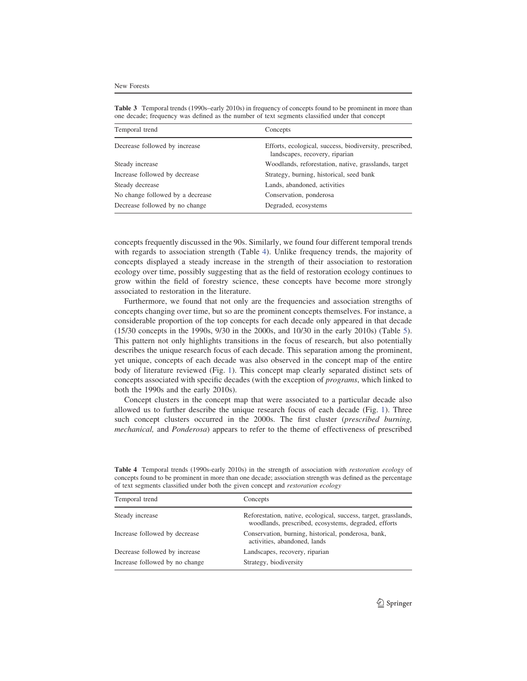#### New Forests

Table 3 Temporal trends (1990s–early 2010s) in frequency of concepts found to be prominent in more than one decade; frequency was defined as the number of text segments classified under that concept

| Temporal trend                   | Concepts                                                                                  |
|----------------------------------|-------------------------------------------------------------------------------------------|
| Decrease followed by increase    | Efforts, ecological, success, biodiversity, prescribed,<br>landscapes, recovery, riparian |
| Steady increase                  | Woodlands, reforestation, native, grasslands, target                                      |
| Increase followed by decrease    | Strategy, burning, historical, seed bank                                                  |
| Steady decrease                  | Lands, abandoned, activities                                                              |
| No change followed by a decrease | Conservation, ponderosa                                                                   |
| Decrease followed by no change   | Degraded, ecosystems                                                                      |

concepts frequently discussed in the 90s. Similarly, we found four different temporal trends with regards to association strength (Table 4). Unlike frequency trends, the majority of concepts displayed a steady increase in the strength of their association to restoration ecology over time, possibly suggesting that as the field of restoration ecology continues to grow within the field of forestry science, these concepts have become more strongly associated to restoration in the literature.

Furthermore, we found that not only are the frequencies and association strengths of concepts changing over time, but so are the prominent concepts themselves. For instance, a considerable proportion of the top concepts for each decade only appeared in that decade (15/30 concepts in the 1990s, 9/30 in the 2000s, and 10/30 in the early 2010s) (Table 5). This pattern not only highlights transitions in the focus of research, but also potentially describes the unique research focus of each decade. This separation among the prominent, yet unique, concepts of each decade was also observed in the concept map of the entire body of literature reviewed (Fig. 1). This concept map clearly separated distinct sets of concepts associated with specific decades (with the exception of programs, which linked to both the 1990s and the early 2010s).

Concept clusters in the concept map that were associated to a particular decade also allowed us to further describe the unique research focus of each decade (Fig. 1). Three such concept clusters occurred in the 2000s. The first cluster (prescribed burning, mechanical, and Ponderosa) appears to refer to the theme of effectiveness of prescribed

| Temporal trend                 | Concepts                                                                                                                |  |
|--------------------------------|-------------------------------------------------------------------------------------------------------------------------|--|
| Steady increase                | Reforestation, native, ecological, success, target, grasslands,<br>woodlands, prescribed, ecosystems, degraded, efforts |  |
| Increase followed by decrease  | Conservation, burning, historical, ponderosa, bank,<br>activities, abandoned, lands                                     |  |
| Decrease followed by increase  | Landscapes, recovery, riparian                                                                                          |  |
| Increase followed by no change | Strategy, biodiversity                                                                                                  |  |

Table 4 Temporal trends (1990s-early 2010s) in the strength of association with *restoration ecology* of concepts found to be prominent in more than one decade; association strength was defined as the percentage of text segments classified under both the given concept and restoration ecology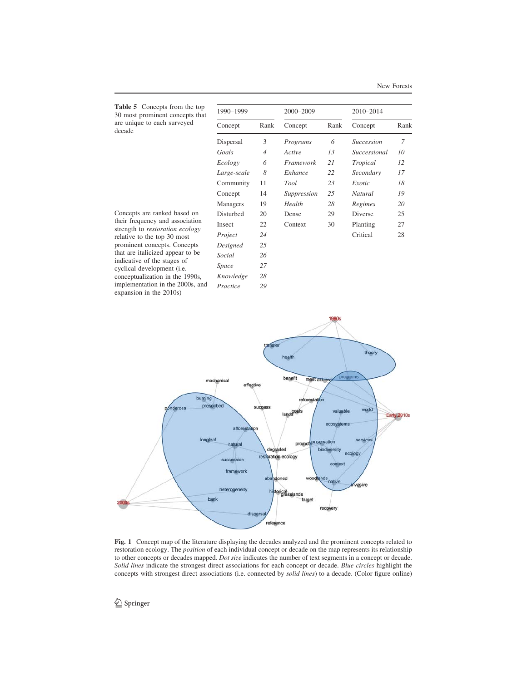New Forests

Table 5 Concepts from the top 30 most prominent concepts that are unique to each surveyed decade

| Concepts are ranked based on           |
|----------------------------------------|
| their frequency and association        |
| strength to <i>restoration</i> ecology |
| relative to the top 30 most            |
| prominent concepts. Concepts           |
| that are italicized appear to be       |
| indicative of the stages of            |
| cyclical development (i.e.             |
| conceptualization in the 1990s,        |
| implementation in the 2000s, and       |
| expansion in the 2010s)                |





Fig. 1 Concept map of the literature displaying the decades analyzed and the prominent concepts related to restoration ecology. The position of each individual concept or decade on the map represents its relationship to other concepts or decades mapped. Dot size indicates the number of text segments in a concept or decade. Solid lines indicate the strongest direct associations for each concept or decade. Blue circles highlight the concepts with strongest direct associations (i.e. connected by solid lines) to a decade. (Color figure online)

<sup>2</sup> Springer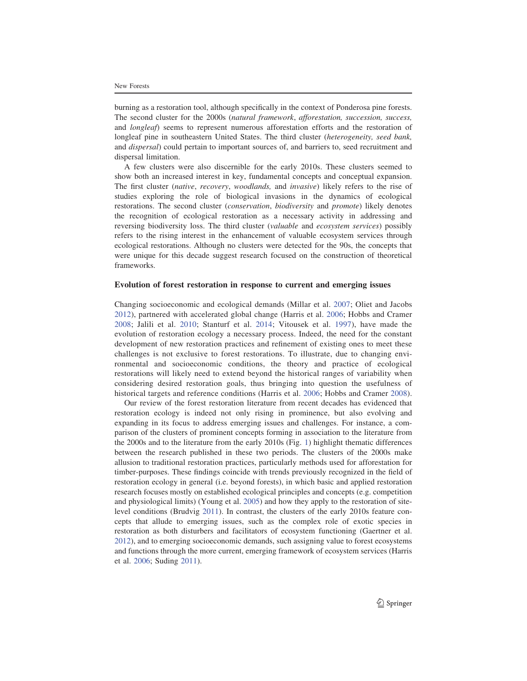burning as a restoration tool, although specifically in the context of Ponderosa pine forests. The second cluster for the 2000s (natural framework, afforestation, succession, success, and longleaf) seems to represent numerous afforestation efforts and the restoration of longleaf pine in southeastern United States. The third cluster (heterogeneity, seed bank, and dispersal) could pertain to important sources of, and barriers to, seed recruitment and dispersal limitation.

A few clusters were also discernible for the early 2010s. These clusters seemed to show both an increased interest in key, fundamental concepts and conceptual expansion. The first cluster (native, recovery, woodlands, and invasive) likely refers to the rise of studies exploring the role of biological invasions in the dynamics of ecological restorations. The second cluster (*conservation*, *biodiversity* and *promote*) likely denotes the recognition of ecological restoration as a necessary activity in addressing and reversing biodiversity loss. The third cluster (valuable and ecosystem services) possibly refers to the rising interest in the enhancement of valuable ecosystem services through ecological restorations. Although no clusters were detected for the 90s, the concepts that were unique for this decade suggest research focused on the construction of theoretical frameworks.

#### Evolution of forest restoration in response to current and emerging issues

Changing socioeconomic and ecological demands (Millar et al. 2007; Oliet and Jacobs 2012), partnered with accelerated global change (Harris et al. 2006; Hobbs and Cramer 2008; Jalili et al. 2010; Stanturf et al. 2014; Vitousek et al. 1997), have made the evolution of restoration ecology a necessary process. Indeed, the need for the constant development of new restoration practices and refinement of existing ones to meet these challenges is not exclusive to forest restorations. To illustrate, due to changing environmental and socioeconomic conditions, the theory and practice of ecological restorations will likely need to extend beyond the historical ranges of variability when considering desired restoration goals, thus bringing into question the usefulness of historical targets and reference conditions (Harris et al. 2006; Hobbs and Cramer 2008).

Our review of the forest restoration literature from recent decades has evidenced that restoration ecology is indeed not only rising in prominence, but also evolving and expanding in its focus to address emerging issues and challenges. For instance, a comparison of the clusters of prominent concepts forming in association to the literature from the 2000s and to the literature from the early 2010s (Fig. 1) highlight thematic differences between the research published in these two periods. The clusters of the 2000s make allusion to traditional restoration practices, particularly methods used for afforestation for timber-purposes. These findings coincide with trends previously recognized in the field of restoration ecology in general (i.e. beyond forests), in which basic and applied restoration research focuses mostly on established ecological principles and concepts (e.g. competition and physiological limits) (Young et al. 2005) and how they apply to the restoration of sitelevel conditions (Brudvig 2011). In contrast, the clusters of the early 2010s feature concepts that allude to emerging issues, such as the complex role of exotic species in restoration as both disturbers and facilitators of ecosystem functioning (Gaertner et al. 2012), and to emerging socioeconomic demands, such assigning value to forest ecosystems and functions through the more current, emerging framework of ecosystem services (Harris et al. 2006; Suding 2011).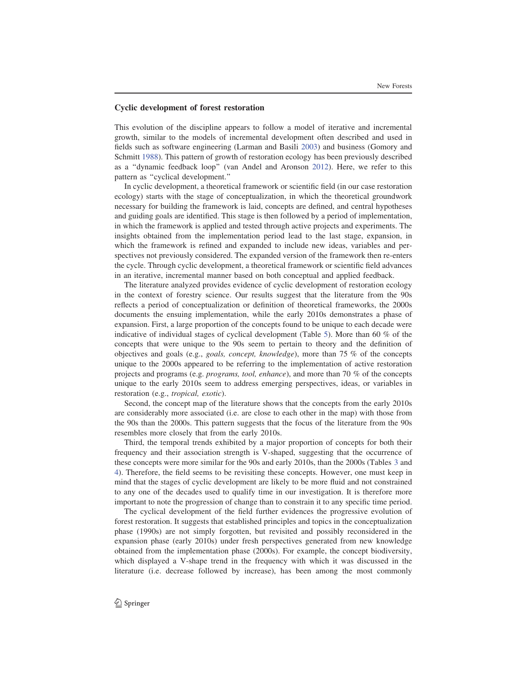## Cyclic development of forest restoration

This evolution of the discipline appears to follow a model of iterative and incremental growth, similar to the models of incremental development often described and used in fields such as software engineering (Larman and Basili 2003) and business (Gomory and Schmitt 1988). This pattern of growth of restoration ecology has been previously described as a ''dynamic feedback loop'' (van Andel and Aronson 2012). Here, we refer to this pattern as ''cyclical development.''

In cyclic development, a theoretical framework or scientific field (in our case restoration ecology) starts with the stage of conceptualization, in which the theoretical groundwork necessary for building the framework is laid, concepts are defined, and central hypotheses and guiding goals are identified. This stage is then followed by a period of implementation, in which the framework is applied and tested through active projects and experiments. The insights obtained from the implementation period lead to the last stage, expansion, in which the framework is refined and expanded to include new ideas, variables and perspectives not previously considered. The expanded version of the framework then re-enters the cycle. Through cyclic development, a theoretical framework or scientific field advances in an iterative, incremental manner based on both conceptual and applied feedback.

The literature analyzed provides evidence of cyclic development of restoration ecology in the context of forestry science. Our results suggest that the literature from the 90s reflects a period of conceptualization or definition of theoretical frameworks, the 2000s documents the ensuing implementation, while the early 2010s demonstrates a phase of expansion. First, a large proportion of the concepts found to be unique to each decade were indicative of individual stages of cyclical development (Table 5). More than 60 % of the concepts that were unique to the 90s seem to pertain to theory and the definition of objectives and goals (e.g., *goals, concept, knowledge)*, more than 75  $\%$  of the concepts unique to the 2000s appeared to be referring to the implementation of active restoration projects and programs (e.g. programs, tool, enhance), and more than 70 % of the concepts unique to the early 2010s seem to address emerging perspectives, ideas, or variables in restoration (e.g., tropical, exotic).

Second, the concept map of the literature shows that the concepts from the early 2010s are considerably more associated (i.e. are close to each other in the map) with those from the 90s than the 2000s. This pattern suggests that the focus of the literature from the 90s resembles more closely that from the early 2010s.

Third, the temporal trends exhibited by a major proportion of concepts for both their frequency and their association strength is V-shaped, suggesting that the occurrence of these concepts were more similar for the 90s and early 2010s, than the 2000s (Tables 3 and 4). Therefore, the field seems to be revisiting these concepts. However, one must keep in mind that the stages of cyclic development are likely to be more fluid and not constrained to any one of the decades used to qualify time in our investigation. It is therefore more important to note the progression of change than to constrain it to any specific time period.

The cyclical development of the field further evidences the progressive evolution of forest restoration. It suggests that established principles and topics in the conceptualization phase (1990s) are not simply forgotten, but revisited and possibly reconsidered in the expansion phase (early 2010s) under fresh perspectives generated from new knowledge obtained from the implementation phase (2000s). For example, the concept biodiversity, which displayed a V-shape trend in the frequency with which it was discussed in the literature (i.e. decrease followed by increase), has been among the most commonly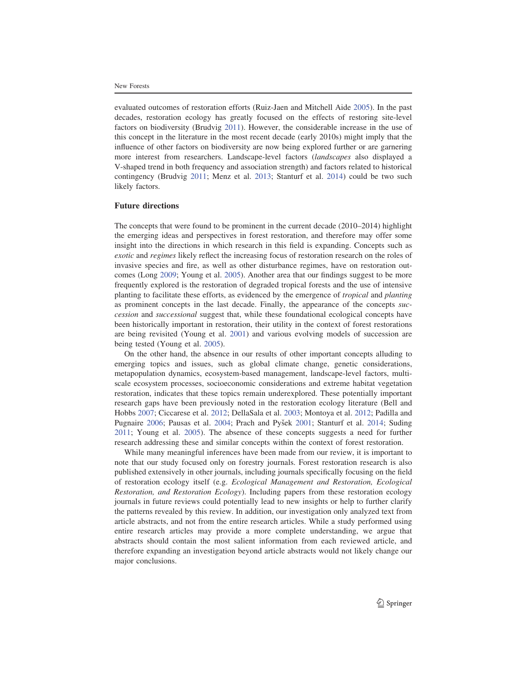evaluated outcomes of restoration efforts (Ruiz-Jaen and Mitchell Aide 2005). In the past decades, restoration ecology has greatly focused on the effects of restoring site-level factors on biodiversity (Brudvig 2011). However, the considerable increase in the use of this concept in the literature in the most recent decade (early 2010s) might imply that the influence of other factors on biodiversity are now being explored further or are garnering more interest from researchers. Landscape-level factors (landscapes also displayed a V-shaped trend in both frequency and association strength) and factors related to historical contingency (Brudvig 2011; Menz et al. 2013; Stanturf et al. 2014) could be two such likely factors.

### Future directions

The concepts that were found to be prominent in the current decade (2010–2014) highlight the emerging ideas and perspectives in forest restoration, and therefore may offer some insight into the directions in which research in this field is expanding. Concepts such as exotic and regimes likely reflect the increasing focus of restoration research on the roles of invasive species and fire, as well as other disturbance regimes, have on restoration outcomes (Long 2009; Young et al. 2005). Another area that our findings suggest to be more frequently explored is the restoration of degraded tropical forests and the use of intensive planting to facilitate these efforts, as evidenced by the emergence of tropical and planting as prominent concepts in the last decade. Finally, the appearance of the concepts succession and successional suggest that, while these foundational ecological concepts have been historically important in restoration, their utility in the context of forest restorations are being revisited (Young et al. 2001) and various evolving models of succession are being tested (Young et al. 2005).

On the other hand, the absence in our results of other important concepts alluding to emerging topics and issues, such as global climate change, genetic considerations, metapopulation dynamics, ecosystem-based management, landscape-level factors, multiscale ecosystem processes, socioeconomic considerations and extreme habitat vegetation restoration, indicates that these topics remain underexplored. These potentially important research gaps have been previously noted in the restoration ecology literature (Bell and Hobbs 2007; Ciccarese et al. 2012; DellaSala et al. 2003; Montoya et al. 2012; Padilla and Pugnaire 2006; Pausas et al. 2004; Prach and Pyšek 2001; Stanturf et al. 2014; Suding 2011; Young et al. 2005). The absence of these concepts suggests a need for further research addressing these and similar concepts within the context of forest restoration.

While many meaningful inferences have been made from our review, it is important to note that our study focused only on forestry journals. Forest restoration research is also published extensively in other journals, including journals specifically focusing on the field of restoration ecology itself (e.g. Ecological Management and Restoration, Ecological Restoration, and Restoration Ecology). Including papers from these restoration ecology journals in future reviews could potentially lead to new insights or help to further clarify the patterns revealed by this review. In addition, our investigation only analyzed text from article abstracts, and not from the entire research articles. While a study performed using entire research articles may provide a more complete understanding, we argue that abstracts should contain the most salient information from each reviewed article, and therefore expanding an investigation beyond article abstracts would not likely change our major conclusions.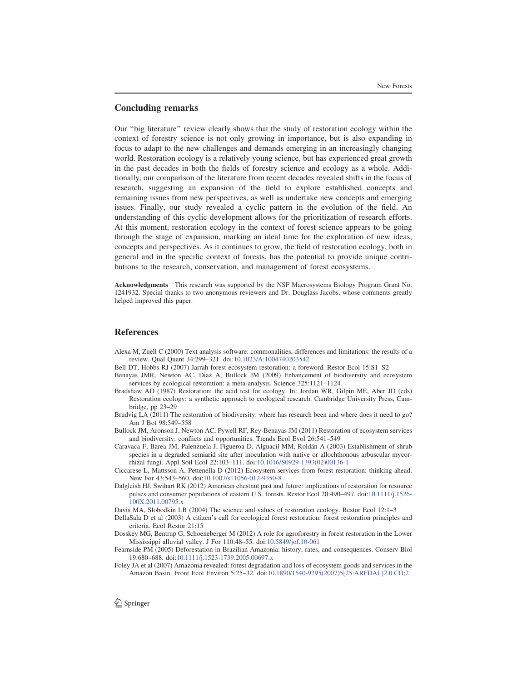## Concluding remarks

Our ''big literature'' review clearly shows that the study of restoration ecology within the context of forestry science is not only growing in importance, but is also expanding in focus to adapt to the new challenges and demands emerging in an increasingly changing world. Restoration ecology is a relatively young science, but has experienced great growth in the past decades in both the fields of forestry science and ecology as a whole. Additionally, our comparison of the literature from recent decades revealed shifts in the focus of research, suggesting an expansion of the field to explore established concepts and remaining issues from new perspectives, as well as undertake new concepts and emerging issues. Finally, our study revealed a cyclic pattern in the evolution of the field. An understanding of this cyclic development allows for the prioritization of research efforts. At this moment, restoration ecology in the context of forest science appears to be going through the stage of expansion, marking an ideal time for the exploration of new ideas, concepts and perspectives. As it continues to grow, the field of restoration ecology, both in general and in the specific context of forests, has the potential to provide unique contributions to the research, conservation, and management of forest ecosystems.

Acknowledgments This research was supported by the NSF Macrosystems Biology Program Grant No. 1241932. Special thanks to two anonymous reviewers and Dr. Douglass Jacobs, whose comments greatly helped improved this paper.

# References

- Alexa M, Zuell C (2000) Text analysis software: commonalities, differences and limitations: the results of a review. Qual Quant 34:299–321. doi:10.1023/A:1004740203542
- Bell DT, Hobbs RJ (2007) Jarrah forest ecosystem restoration: a foreword. Restor Ecol 15:S1–S2
- Benayas JMR, Newton AC, Diaz A, Bullock JM (2009) Enhancement of biodiversity and ecosystem services by ecological restoration: a meta-analysis. Science 325:1121–1124
- Bradshaw AD (1987) Restoration: the acid test for ecology. In: Jordan WR, Gilpin ME, Aber JD (eds) Restoration ecology: a synthetic approach to ecological research. Cambridge University Press, Cambridge, pp 23–29
- Brudvig LA (2011) The restoration of biodiversity: where has research been and where does it need to go? Am J Bot 98:549–558
- Bullock JM, Aronson J, Newton AC, Pywell RF, Rey-Benayas JM (2011) Restoration of ecosystem services and biodiversity: conflicts and opportunities. Trends Ecol Evol 26:541–549
- Caravaca F, Barea JM, Palenzuela J, Figueroa D, Alguacil MM, Rolda´n A (2003) Establishment of shrub species in a degraded semiarid site after inoculation with native or allochthonous arbuscular mycorrhizal fungi. Appl Soil Ecol 22:103–111. doi:10.1016/S0929-1393(02)00136-1
- Ciccarese L, Mattsson A, Pettenella D (2012) Ecosystem services from forest restoration: thinking ahead. New For 43:543–560. doi:10.1007/s11056-012-9350-8
- Dalgleish HJ, Swihart RK (2012) American chestnut past and future: implications of restoration for resource pulses and consumer populations of eastern U.S. forests. Restor Ecol 20:490–497. doi:10.1111/j.1526- 100X.2011.00795.x
- Davis MA, Slobodkin LB (2004) The science and values of restoration ecology. Restor Ecol 12:1–3
- DellaSala D et al (2003) A citizen's call for ecological forest restoration: forest restoration principles and criteria. Ecol Restor 21:15
- Dosskey MG, Bentrup G, Schoeneberger M (2012) A role for agroforestry in forest restoration in the Lower Mississippi alluvial valley. J For 110:48–55. doi:10.5849/jof.10-061
- Fearnside PM (2005) Deforestation in Brazilian Amazonia: history, rates, and consequences. Conserv Biol 19:680–688. doi:10.1111/j.1523-1739.2005.00697.x
- Foley JA et al (2007) Amazonia revealed: forest degradation and loss of ecosystem goods and services in the Amazon Basin. Front Ecol Environ 5:25–32. doi:10.1890/1540-9295(2007)5[25:ARFDAL]2.0.CO;2

<sup>2</sup> Springer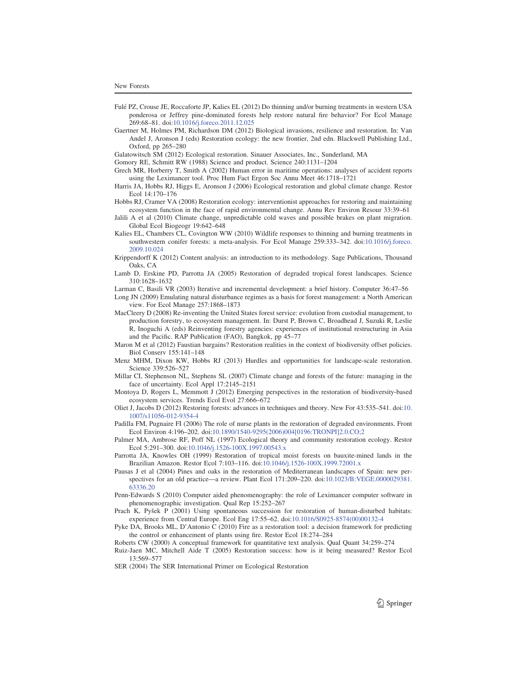- Fulé PZ, Crouse JE, Roccaforte JP, Kalies EL (2012) Do thinning and/or burning treatments in western USA ponderosa or Jeffrey pine-dominated forests help restore natural fire behavior? For Ecol Manage 269:68–81. doi:10.1016/j.foreco.2011.12.025
- Gaertner M, Holmes PM, Richardson DM (2012) Biological invasions, resilience and restoration. In: Van Andel J, Aronson J (eds) Restoration ecology: the new frontier, 2nd edn. Blackwell Publishing Ltd., Oxford, pp 265–280

Galatowitsch SM (2012) Ecological restoration. Sinauer Associates, Inc., Sunderland, MA

Gomory RE, Schmitt RW (1988) Science and product. Science 240:1131–1204

- Grech MR, Horberry T, Smith A (2002) Human error in maritime operations: analyses of accident reports using the Leximancer tool. Proc Hum Fact Ergon Soc Annu Meet 46:1718–1721
- Harris JA, Hobbs RJ, Higgs E, Aronson J (2006) Ecological restoration and global climate change. Restor Ecol 14:170–176
- Hobbs RJ, Cramer VA (2008) Restoration ecology: interventionist approaches for restoring and maintaining ecosystem function in the face of rapid environmental change. Annu Rev Environ Resour 33:39–61
- Jalili A et al (2010) Climate change, unpredictable cold waves and possible brakes on plant migration. Global Ecol Biogeogr 19:642–648
- Kalies EL, Chambers CL, Covington WW (2010) Wildlife responses to thinning and burning treatments in southwestern conifer forests: a meta-analysis. For Ecol Manage 259:333–342. doi:10.1016/j.foreco. 2009.10.024
- Krippendorff K (2012) Content analysis: an introduction to its methodology. Sage Publications, Thousand Oaks, CA
- Lamb D, Erskine PD, Parrotta JA (2005) Restoration of degraded tropical forest landscapes. Science 310:1628–1632

Larman C, Basili VR (2003) Iterative and incremental development: a brief history. Computer 36:47–56

- Long JN (2009) Emulating natural disturbance regimes as a basis for forest management: a North American view. For Ecol Manage 257:1868–1873
- MacCleery D (2008) Re-inventing the United States forest service: evolution from custodial management, to production forestry, to ecosystem management. In: Durst P, Brown C, Broadhead J, Suzuki R, Leslie R, Inoguchi A (eds) Reinventing forestry agencies: experiences of institutional restructuring in Asia and the Pacific. RAP Publication (FAO), Bangkok, pp 45–77
- Maron M et al (2012) Faustian bargains? Restoration realities in the context of biodiversity offset policies. Biol Conserv 155:141–148
- Menz MHM, Dixon KW, Hobbs RJ (2013) Hurdles and opportunities for landscape-scale restoration. Science 339:526–527
- Millar CI, Stephenson NL, Stephens SL (2007) Climate change and forests of the future: managing in the face of uncertainty. Ecol Appl 17:2145–2151
- Montoya D, Rogers L, Memmott J (2012) Emerging perspectives in the restoration of biodiversity-based ecosystem services. Trends Ecol Evol 27:666–672
- Oliet J, Jacobs D (2012) Restoring forests: advances in techniques and theory. New For 43:535–541. doi:10. 1007/s11056-012-9354-4
- Padilla FM, Pugnaire FI (2006) The role of nurse plants in the restoration of degraded environments. Front Ecol Environ 4:196–202. doi:10.1890/1540-9295(2006)004[0196:TRONPI]2.0.CO;2

Palmer MA, Ambrose RF, Poff NL (1997) Ecological theory and community restoration ecology. Restor Ecol 5:291–300. doi:10.1046/j.1526-100X.1997.00543.x

Parrotta JA, Knowles OH (1999) Restoration of tropical moist forests on bauxite-mined lands in the Brazilian Amazon. Restor Ecol 7:103–116. doi:10.1046/j.1526-100X.1999.72001.x

- Pausas J et al (2004) Pines and oaks in the restoration of Mediterranean landscapes of Spain: new perspectives for an old practice—a review. Plant Ecol 171:209–220. doi:10.1023/B:VEGE.0000029381. 63336.20
- Penn-Edwards S (2010) Computer aided phenomenography: the role of Leximancer computer software in phenomenographic investigation. Qual Rep 15:252–267
- Prach K, Pyšek P (2001) Using spontaneous succession for restoration of human-disturbed habitats: experience from Central Europe. Ecol Eng 17:55–62. doi:10.1016/S0925-8574(00)00132-4
- Pyke DA, Brooks ML, D'Antonio C (2010) Fire as a restoration tool: a decision framework for predicting the control or enhancement of plants using fire. Restor Ecol 18:274–284
- Roberts CW (2000) A conceptual framework for quantitative text analysis. Qual Quant 34:259–274
- Ruiz-Jaen MC, Mitchell Aide T (2005) Restoration success: how is it being measured? Restor Ecol 13:569–577
- SER (2004) The SER International Primer on Ecological Restoration